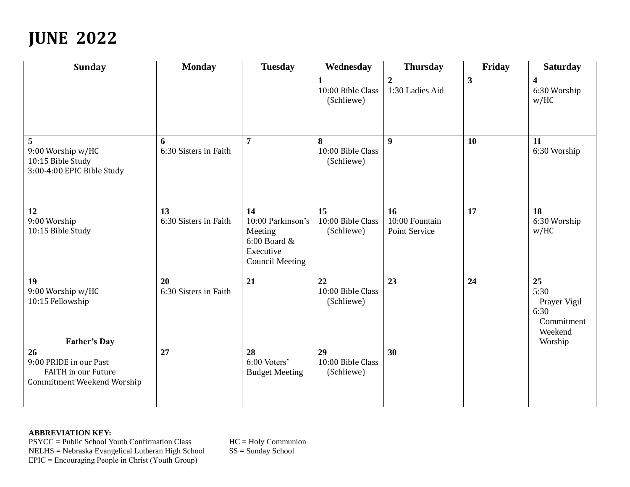## **JUNE 2022**

| <b>Sunday</b>                                                                                   | <b>Monday</b>               | <b>Tuesday</b>                                                                                 | Wednesday                                       | <b>Thursday</b>                       | Friday       | <b>Saturday</b>                                                        |
|-------------------------------------------------------------------------------------------------|-----------------------------|------------------------------------------------------------------------------------------------|-------------------------------------------------|---------------------------------------|--------------|------------------------------------------------------------------------|
|                                                                                                 |                             |                                                                                                | $\mathbf{1}$<br>10:00 Bible Class<br>(Schliewe) | $\boldsymbol{2}$<br>1:30 Ladies Aid   | $\mathbf{3}$ | $\overline{\mathbf{4}}$<br>6:30 Worship<br>w/HC                        |
| 5<br>9:00 Worship w/HC<br>10:15 Bible Study<br>3:00-4:00 EPIC Bible Study                       | 6<br>6:30 Sisters in Faith  | $\overline{7}$                                                                                 | 8<br>10:00 Bible Class<br>(Schliewe)            | $\boldsymbol{9}$                      | 10           | 11<br>6:30 Worship                                                     |
| 12<br>9:00 Worship<br>10:15 Bible Study                                                         | 13<br>6:30 Sisters in Faith | 14<br>10:00 Parkinson's<br>Meeting<br>$6:00$ Board $\&$<br>Executive<br><b>Council Meeting</b> | 15<br>10:00 Bible Class<br>(Schliewe)           | 16<br>10:00 Fountain<br>Point Service | 17           | 18<br>6:30 Worship<br>w/HC                                             |
| 19<br>9:00 Worship w/HC<br>10:15 Fellowship<br><b>Father's Day</b>                              | 20<br>6:30 Sisters in Faith | 21                                                                                             | 22<br>10:00 Bible Class<br>(Schliewe)           | 23                                    | 24           | 25<br>5:30<br>Prayer Vigil<br>6:30<br>Commitment<br>Weekend<br>Worship |
| 26<br>9:00 PRIDE in our Past<br><b>FAITH in our Future</b><br><b>Commitment Weekend Worship</b> | 27                          | 28<br>6:00 Voters'<br><b>Budget Meeting</b>                                                    | 29<br>10:00 Bible Class<br>(Schliewe)           | 30                                    |              |                                                                        |

## **ABBREVIATION KEY:**

PSYCC = Public School Youth Confirmation Class HC = Holy Communion<br>NELHS = Nebraska Evangelical Lutheran High School SS = Sunday School NELHS = Nebraska Evangelical Lutheran High School SS = Sunday School EPIC = Encouraging People in Christ (Youth Group)